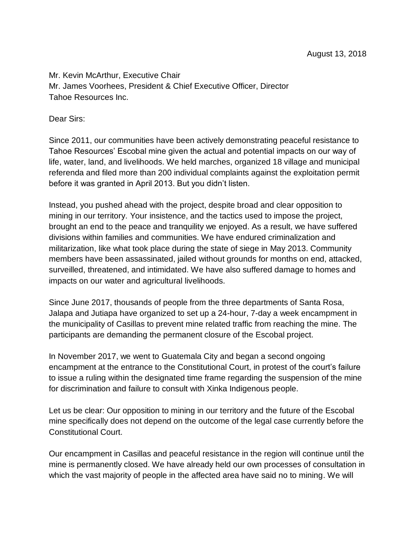Mr. Kevin McArthur, Executive Chair Mr. James Voorhees, President & Chief Executive Officer, Director Tahoe Resources Inc.

Dear Sirs:

Since 2011, our communities have been actively demonstrating peaceful resistance to Tahoe Resources' Escobal mine given the actual and potential impacts on our way of life, water, land, and livelihoods. We held marches, organized 18 village and municipal referenda and filed more than 200 individual complaints against the exploitation permit before it was granted in April 2013. But you didn't listen.

Instead, you pushed ahead with the project, despite broad and clear opposition to mining in our territory. Your insistence, and the tactics used to impose the project, brought an end to the peace and tranquility we enjoyed. As a result, we have suffered divisions within families and communities. We have endured criminalization and militarization, like what took place during the state of siege in May 2013. Community members have been assassinated, jailed without grounds for months on end, attacked, surveilled, threatened, and intimidated. We have also suffered damage to homes and impacts on our water and agricultural livelihoods.

Since June 2017, thousands of people from the three departments of Santa Rosa, Jalapa and Jutiapa have organized to set up a 24-hour, 7-day a week encampment in the municipality of Casillas to prevent mine related traffic from reaching the mine. The participants are demanding the permanent closure of the Escobal project.

In November 2017, we went to Guatemala City and began a second ongoing encampment at the entrance to the Constitutional Court, in protest of the court's failure to issue a ruling within the designated time frame regarding the suspension of the mine for discrimination and failure to consult with Xinka Indigenous people.

Let us be clear: Our opposition to mining in our territory and the future of the Escobal mine specifically does not depend on the outcome of the legal case currently before the Constitutional Court.

Our encampment in Casillas and peaceful resistance in the region will continue until the mine is permanently closed. We have already held our own processes of consultation in which the vast majority of people in the affected area have said no to mining. We will